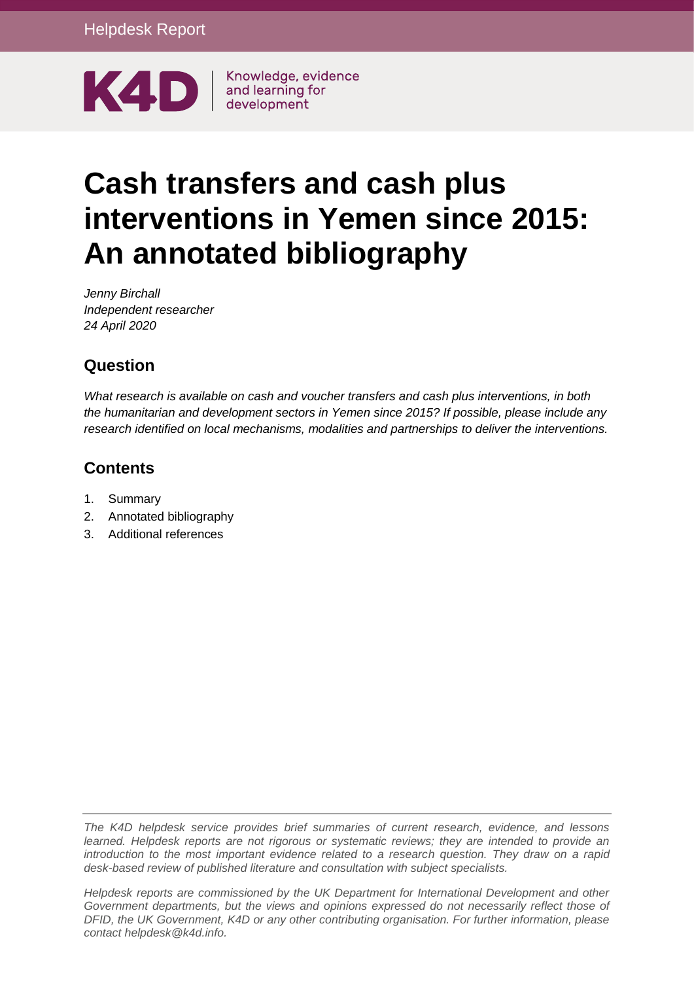

# **Cash transfers and cash plus interventions in Yemen since 2015: An annotated bibliography**

*Jenny Birchall Independent researcher 24 April 2020*

# **Question**

*What research is available on cash and voucher transfers and cash plus interventions, in both the humanitarian and development sectors in Yemen since 2015? If possible, please include any research identified on local mechanisms, modalities and partnerships to deliver the interventions.* 

# **Contents**

- 1. [Summary](#page-1-0)
- 2. [Annotated bibliography](#page-3-0)
- 3. [Additional references](#page-19-0)

*The K4D helpdesk service provides brief summaries of current research, evidence, and lessons learned. Helpdesk reports are not rigorous or systematic reviews; they are intended to provide an introduction to the most important evidence related to a research question. They draw on a rapid desk-based review of published literature and consultation with subject specialists.* 

*Helpdesk reports are commissioned by the UK Department for International Development and other Government departments, but the views and opinions expressed do not necessarily reflect those of DFID, the UK Government, K4D or any other contributing organisation. For further information, please contact helpdesk@k4d.info.*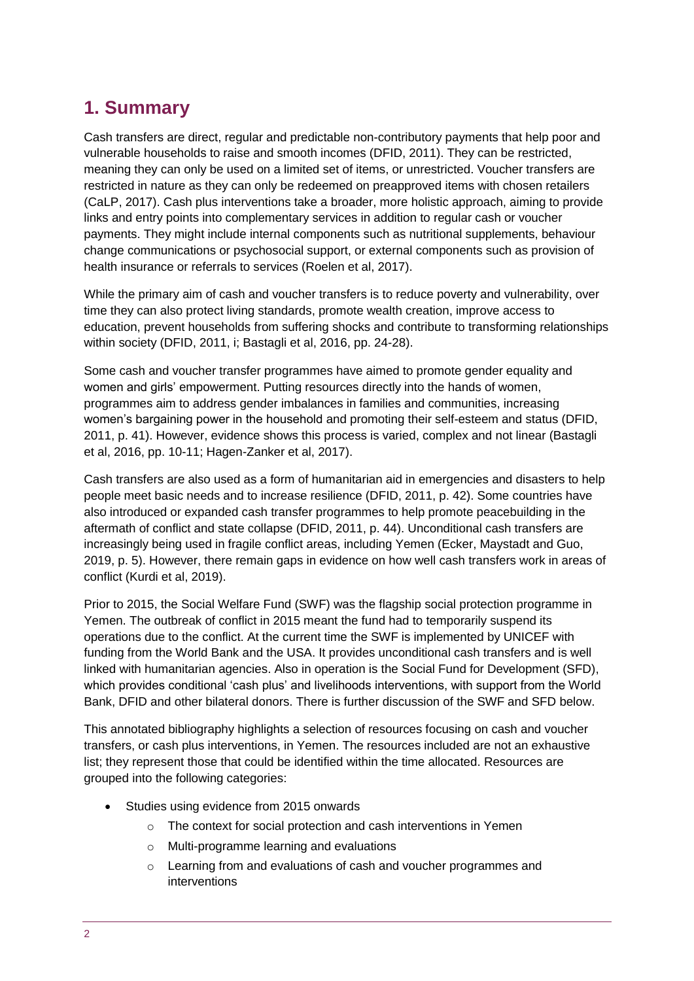# <span id="page-1-0"></span>**1. Summary**

Cash transfers are direct, regular and predictable non-contributory payments that help poor and vulnerable households to raise and smooth incomes (DFID, 2011). They can be restricted, meaning they can only be used on a limited set of items, or unrestricted. Voucher transfers are restricted in nature as they can only be redeemed on preapproved items with chosen retailers (CaLP, 2017). Cash plus interventions take a broader, more holistic approach, aiming to provide links and entry points into complementary services in addition to regular cash or voucher payments. They might include internal components such as nutritional supplements, behaviour change communications or psychosocial support, or external components such as provision of health insurance or referrals to services (Roelen et al, 2017).

While the primary aim of cash and voucher transfers is to reduce poverty and vulnerability, over time they can also protect living standards, promote wealth creation, improve access to education, prevent households from suffering shocks and contribute to transforming relationships within society (DFID, 2011, i; Bastagli et al, 2016, pp. 24-28).

Some cash and voucher transfer programmes have aimed to promote gender equality and women and girls' empowerment. Putting resources directly into the hands of women, programmes aim to address gender imbalances in families and communities, increasing women's bargaining power in the household and promoting their self-esteem and status (DFID, 2011, p. 41). However, evidence shows this process is varied, complex and not linear (Bastagli et al, 2016, pp. 10-11; Hagen-Zanker et al, 2017).

Cash transfers are also used as a form of humanitarian aid in emergencies and disasters to help people meet basic needs and to increase resilience (DFID, 2011, p. 42). Some countries have also introduced or expanded cash transfer programmes to help promote peacebuilding in the aftermath of conflict and state collapse (DFID, 2011, p. 44). Unconditional cash transfers are increasingly being used in fragile conflict areas, including Yemen (Ecker, Maystadt and Guo, 2019, p. 5). However, there remain gaps in evidence on how well cash transfers work in areas of conflict (Kurdi et al, 2019).

Prior to 2015, the Social Welfare Fund (SWF) was the flagship social protection programme in Yemen. The outbreak of conflict in 2015 meant the fund had to temporarily suspend its operations due to the conflict. At the current time the SWF is implemented by UNICEF with funding from the World Bank and the USA. It provides unconditional cash transfers and is well linked with humanitarian agencies. Also in operation is the Social Fund for Development (SFD), which provides conditional 'cash plus' and livelihoods interventions, with support from the World Bank, DFID and other bilateral donors. There is further discussion of the SWF and SFD below.

This annotated bibliography highlights a selection of resources focusing on cash and voucher transfers, or cash plus interventions, in Yemen. The resources included are not an exhaustive list; they represent those that could be identified within the time allocated. Resources are grouped into the following categories:

- Studies using evidence from 2015 onwards
	- o The context for social protection and cash interventions in Yemen
	- o Multi-programme learning and evaluations
	- Learning from and evaluations of cash and voucher programmes and interventions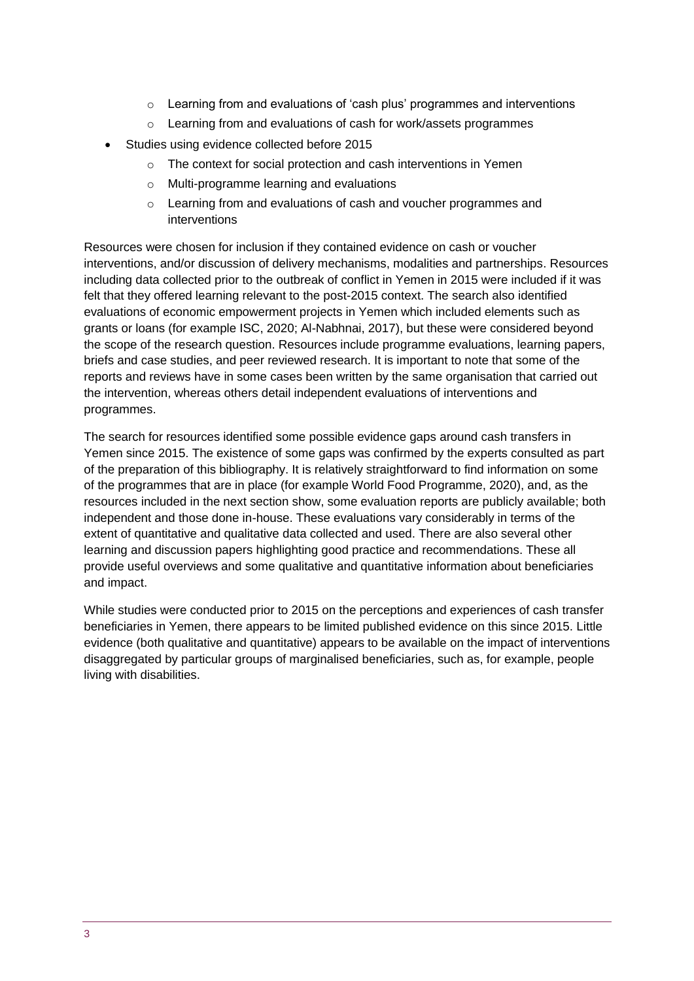- $\circ$  Learning from and evaluations of 'cash plus' programmes and interventions
- o Learning from and evaluations of cash for work/assets programmes
- Studies using evidence collected before 2015
	- o The context for social protection and cash interventions in Yemen
	- o Multi-programme learning and evaluations
	- o Learning from and evaluations of cash and voucher programmes and interventions

Resources were chosen for inclusion if they contained evidence on cash or voucher interventions, and/or discussion of delivery mechanisms, modalities and partnerships. Resources including data collected prior to the outbreak of conflict in Yemen in 2015 were included if it was felt that they offered learning relevant to the post-2015 context. The search also identified evaluations of economic empowerment projects in Yemen which included elements such as grants or loans (for example ISC, 2020; Al-Nabhnai, 2017), but these were considered beyond the scope of the research question. Resources include programme evaluations, learning papers, briefs and case studies, and peer reviewed research. It is important to note that some of the reports and reviews have in some cases been written by the same organisation that carried out the intervention, whereas others detail independent evaluations of interventions and programmes.

The search for resources identified some possible evidence gaps around cash transfers in Yemen since 2015. The existence of some gaps was confirmed by the experts consulted as part of the preparation of this bibliography. It is relatively straightforward to find information on some of the programmes that are in place (for example World Food Programme, 2020), and, as the resources included in the next section show, some evaluation reports are publicly available; both independent and those done in-house. These evaluations vary considerably in terms of the extent of quantitative and qualitative data collected and used. There are also several other learning and discussion papers highlighting good practice and recommendations. These all provide useful overviews and some qualitative and quantitative information about beneficiaries and impact.

While studies were conducted prior to 2015 on the perceptions and experiences of cash transfer beneficiaries in Yemen, there appears to be limited published evidence on this since 2015. Little evidence (both qualitative and quantitative) appears to be available on the impact of interventions disaggregated by particular groups of marginalised beneficiaries, such as, for example, people living with disabilities.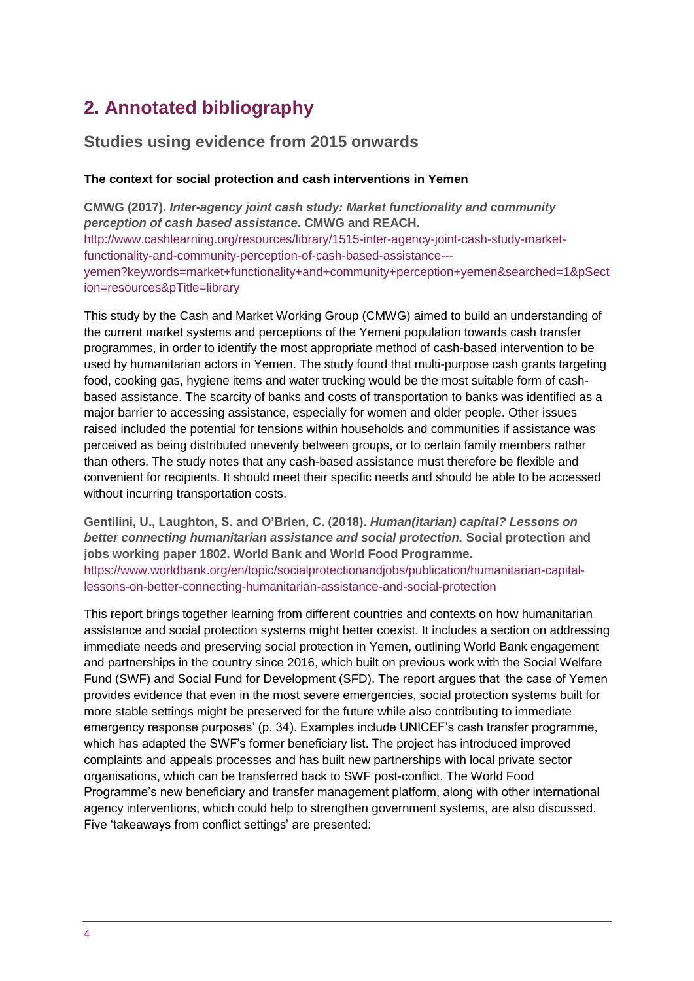# <span id="page-3-0"></span>**2. Annotated bibliography**

### **Studies using evidence from 2015 onwards**

#### **The context for social protection and cash interventions in Yemen**

**CMWG (2017).** *Inter-agency joint cash study: Market functionality and community perception of cash based assistance.* **CMWG and REACH.**  [http://www.cashlearning.org/resources/library/1515-inter-agency-joint-cash-study-market](http://www.cashlearning.org/resources/library/1515-inter-agency-joint-cash-study-market-functionality-and-community-perception-of-cash-based-assistance---yemen?keywords=market+functionality+and+community+perception+yemen&searched=1&pSection=resources&pTitle=library)[functionality-and-community-perception-of-cash-based-assistance--](http://www.cashlearning.org/resources/library/1515-inter-agency-joint-cash-study-market-functionality-and-community-perception-of-cash-based-assistance---yemen?keywords=market+functionality+and+community+perception+yemen&searched=1&pSection=resources&pTitle=library) [yemen?keywords=market+functionality+and+community+perception+yemen&searched=1&pSect](http://www.cashlearning.org/resources/library/1515-inter-agency-joint-cash-study-market-functionality-and-community-perception-of-cash-based-assistance---yemen?keywords=market+functionality+and+community+perception+yemen&searched=1&pSection=resources&pTitle=library) [ion=resources&pTitle=library](http://www.cashlearning.org/resources/library/1515-inter-agency-joint-cash-study-market-functionality-and-community-perception-of-cash-based-assistance---yemen?keywords=market+functionality+and+community+perception+yemen&searched=1&pSection=resources&pTitle=library)

This study by the Cash and Market Working Group (CMWG) aimed to build an understanding of the current market systems and perceptions of the Yemeni population towards cash transfer programmes, in order to identify the most appropriate method of cash-based intervention to be used by humanitarian actors in Yemen. The study found that multi-purpose cash grants targeting food, cooking gas, hygiene items and water trucking would be the most suitable form of cashbased assistance. The scarcity of banks and costs of transportation to banks was identified as a major barrier to accessing assistance, especially for women and older people. Other issues raised included the potential for tensions within households and communities if assistance was perceived as being distributed unevenly between groups, or to certain family members rather than others. The study notes that any cash-based assistance must therefore be flexible and convenient for recipients. It should meet their specific needs and should be able to be accessed without incurring transportation costs.

**Gentilini, U., Laughton, S. and O'Brien, C. (2018).** *Human(itarian) capital? Lessons on better connecting humanitarian assistance and social protection.* **Social protection and jobs working paper 1802. World Bank and World Food Programme.** [https://www.worldbank.org/en/topic/socialprotectionandjobs/publication/humanitarian-capital](https://www.worldbank.org/en/topic/socialprotectionandjobs/publication/humanitarian-capital-lessons-on-better-connecting-humanitarian-assistance-and-social-protection)[lessons-on-better-connecting-humanitarian-assistance-and-social-protection](https://www.worldbank.org/en/topic/socialprotectionandjobs/publication/humanitarian-capital-lessons-on-better-connecting-humanitarian-assistance-and-social-protection)

This report brings together learning from different countries and contexts on how humanitarian assistance and social protection systems might better coexist. It includes a section on addressing immediate needs and preserving social protection in Yemen, outlining World Bank engagement and partnerships in the country since 2016, which built on previous work with the Social Welfare Fund (SWF) and Social Fund for Development (SFD). The report argues that 'the case of Yemen provides evidence that even in the most severe emergencies, social protection systems built for more stable settings might be preserved for the future while also contributing to immediate emergency response purposes' (p. 34). Examples include UNICEF's cash transfer programme, which has adapted the SWF's former beneficiary list. The project has introduced improved complaints and appeals processes and has built new partnerships with local private sector organisations, which can be transferred back to SWF post-conflict. The World Food Programme's new beneficiary and transfer management platform, along with other international agency interventions, which could help to strengthen government systems, are also discussed. Five 'takeaways from conflict settings' are presented: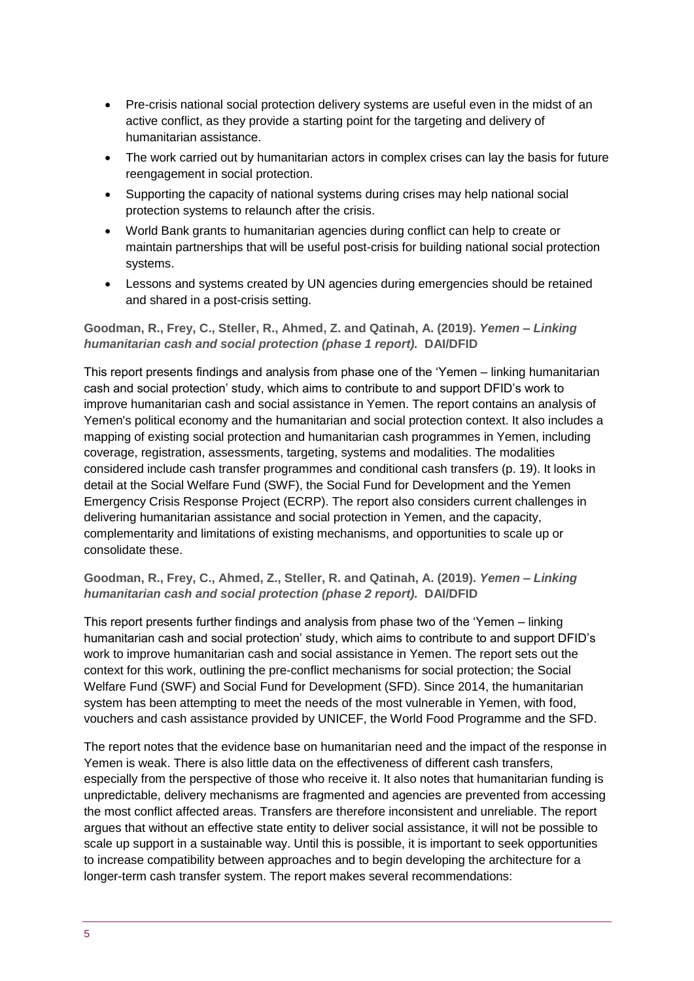- Pre-crisis national social protection delivery systems are useful even in the midst of an active conflict, as they provide a starting point for the targeting and delivery of humanitarian assistance.
- The work carried out by humanitarian actors in complex crises can lay the basis for future reengagement in social protection.
- Supporting the capacity of national systems during crises may help national social protection systems to relaunch after the crisis.
- World Bank grants to humanitarian agencies during conflict can help to create or maintain partnerships that will be useful post-crisis for building national social protection systems.
- Lessons and systems created by UN agencies during emergencies should be retained and shared in a post-crisis setting.

#### **Goodman, R., Frey, C., Steller, R., Ahmed, Z. and Qatinah, A. (2019).** *Yemen – Linking humanitarian cash and social protection (phase 1 report).* **DAI/DFID**

This report presents findings and analysis from phase one of the 'Yemen – linking humanitarian cash and social protection' study, which aims to contribute to and support DFID's work to improve humanitarian cash and social assistance in Yemen. The report contains an analysis of Yemen's political economy and the humanitarian and social protection context. It also includes a mapping of existing social protection and humanitarian cash programmes in Yemen, including coverage, registration, assessments, targeting, systems and modalities. The modalities considered include cash transfer programmes and conditional cash transfers (p. 19). It looks in detail at the Social Welfare Fund (SWF), the Social Fund for Development and the Yemen Emergency Crisis Response Project (ECRP). The report also considers current challenges in delivering humanitarian assistance and social protection in Yemen, and the capacity, complementarity and limitations of existing mechanisms, and opportunities to scale up or consolidate these.

#### **Goodman, R., Frey, C., Ahmed, Z., Steller, R. and Qatinah, A. (2019).** *Yemen – Linking humanitarian cash and social protection (phase 2 report).* **DAI/DFID**

This report presents further findings and analysis from phase two of the 'Yemen – linking humanitarian cash and social protection' study, which aims to contribute to and support DFID's work to improve humanitarian cash and social assistance in Yemen. The report sets out the context for this work, outlining the pre-conflict mechanisms for social protection; the Social Welfare Fund (SWF) and Social Fund for Development (SFD). Since 2014, the humanitarian system has been attempting to meet the needs of the most vulnerable in Yemen, with food, vouchers and cash assistance provided by UNICEF, the World Food Programme and the SFD.

The report notes that the evidence base on humanitarian need and the impact of the response in Yemen is weak. There is also little data on the effectiveness of different cash transfers, especially from the perspective of those who receive it. It also notes that humanitarian funding is unpredictable, delivery mechanisms are fragmented and agencies are prevented from accessing the most conflict affected areas. Transfers are therefore inconsistent and unreliable. The report argues that without an effective state entity to deliver social assistance, it will not be possible to scale up support in a sustainable way. Until this is possible, it is important to seek opportunities to increase compatibility between approaches and to begin developing the architecture for a longer-term cash transfer system. The report makes several recommendations: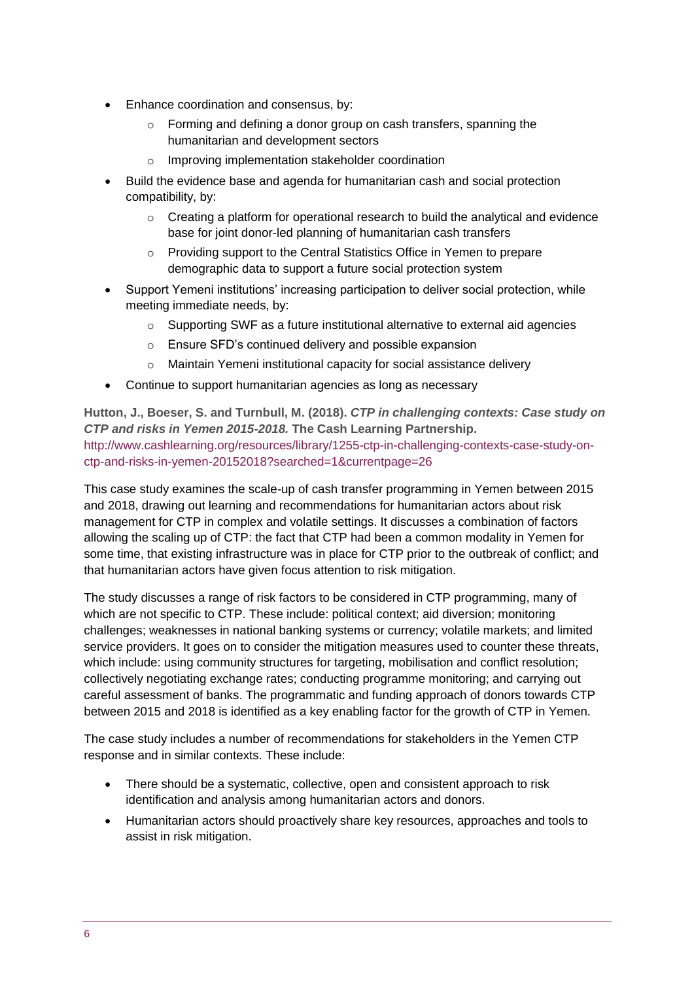- Enhance coordination and consensus, by:
	- o Forming and defining a donor group on cash transfers, spanning the humanitarian and development sectors
	- o Improving implementation stakeholder coordination
- Build the evidence base and agenda for humanitarian cash and social protection compatibility, by:
	- $\circ$  Creating a platform for operational research to build the analytical and evidence base for joint donor-led planning of humanitarian cash transfers
	- o Providing support to the Central Statistics Office in Yemen to prepare demographic data to support a future social protection system
- Support Yemeni institutions' increasing participation to deliver social protection, while meeting immediate needs, by:
	- o Supporting SWF as a future institutional alternative to external aid agencies
	- o Ensure SFD's continued delivery and possible expansion
	- o Maintain Yemeni institutional capacity for social assistance delivery
- Continue to support humanitarian agencies as long as necessary

**Hutton, J., Boeser, S. and Turnbull, M. (2018).** *CTP in challenging contexts: Case study on CTP and risks in Yemen 2015-2018.* **The Cash Learning Partnership.** [http://www.cashlearning.org/resources/library/1255-ctp-in-challenging-contexts-case-study-on](http://www.cashlearning.org/resources/library/1255-ctp-in-challenging-contexts-case-study-on-ctp-and-risks-in-yemen-20152018?searched=1¤tpage=26)[ctp-and-risks-in-yemen-20152018?searched=1&currentpage=26](http://www.cashlearning.org/resources/library/1255-ctp-in-challenging-contexts-case-study-on-ctp-and-risks-in-yemen-20152018?searched=1¤tpage=26)

This case study examines the scale-up of cash transfer programming in Yemen between 2015 and 2018, drawing out learning and recommendations for humanitarian actors about risk management for CTP in complex and volatile settings. It discusses a combination of factors allowing the scaling up of CTP: the fact that CTP had been a common modality in Yemen for some time, that existing infrastructure was in place for CTP prior to the outbreak of conflict; and that humanitarian actors have given focus attention to risk mitigation.

The study discusses a range of risk factors to be considered in CTP programming, many of which are not specific to CTP. These include: political context; aid diversion; monitoring challenges; weaknesses in national banking systems or currency; volatile markets; and limited service providers. It goes on to consider the mitigation measures used to counter these threats, which include: using community structures for targeting, mobilisation and conflict resolution; collectively negotiating exchange rates; conducting programme monitoring; and carrying out careful assessment of banks. The programmatic and funding approach of donors towards CTP between 2015 and 2018 is identified as a key enabling factor for the growth of CTP in Yemen.

The case study includes a number of recommendations for stakeholders in the Yemen CTP response and in similar contexts. These include:

- There should be a systematic, collective, open and consistent approach to risk identification and analysis among humanitarian actors and donors.
- Humanitarian actors should proactively share key resources, approaches and tools to assist in risk mitigation.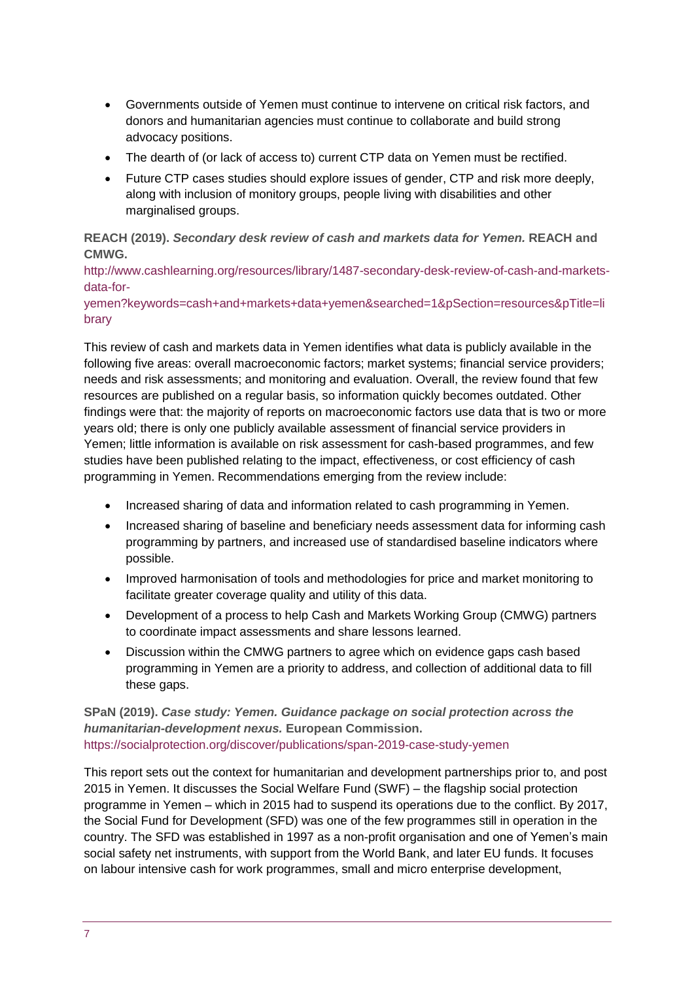- Governments outside of Yemen must continue to intervene on critical risk factors, and donors and humanitarian agencies must continue to collaborate and build strong advocacy positions.
- The dearth of (or lack of access to) current CTP data on Yemen must be rectified.
- Future CTP cases studies should explore issues of gender, CTP and risk more deeply, along with inclusion of monitory groups, people living with disabilities and other marginalised groups.

**REACH (2019).** *Secondary desk review of cash and markets data for Yemen.* **REACH and CMWG.**

[http://www.cashlearning.org/resources/library/1487-secondary-desk-review-of-cash-and-markets](http://www.cashlearning.org/resources/library/1487-secondary-desk-review-of-cash-and-markets-data-for-yemen?keywords=cash+and+markets+data+yemen&searched=1&pSection=resources&pTitle=library)[data-for-](http://www.cashlearning.org/resources/library/1487-secondary-desk-review-of-cash-and-markets-data-for-yemen?keywords=cash+and+markets+data+yemen&searched=1&pSection=resources&pTitle=library)

[yemen?keywords=cash+and+markets+data+yemen&searched=1&pSection=resources&pTitle=li](http://www.cashlearning.org/resources/library/1487-secondary-desk-review-of-cash-and-markets-data-for-yemen?keywords=cash+and+markets+data+yemen&searched=1&pSection=resources&pTitle=library) [brary](http://www.cashlearning.org/resources/library/1487-secondary-desk-review-of-cash-and-markets-data-for-yemen?keywords=cash+and+markets+data+yemen&searched=1&pSection=resources&pTitle=library)

This review of cash and markets data in Yemen identifies what data is publicly available in the following five areas: overall macroeconomic factors; market systems; financial service providers; needs and risk assessments; and monitoring and evaluation. Overall, the review found that few resources are published on a regular basis, so information quickly becomes outdated. Other findings were that: the majority of reports on macroeconomic factors use data that is two or more years old; there is only one publicly available assessment of financial service providers in Yemen; little information is available on risk assessment for cash-based programmes, and few studies have been published relating to the impact, effectiveness, or cost efficiency of cash programming in Yemen. Recommendations emerging from the review include:

- Increased sharing of data and information related to cash programming in Yemen.
- Increased sharing of baseline and beneficiary needs assessment data for informing cash programming by partners, and increased use of standardised baseline indicators where possible.
- Improved harmonisation of tools and methodologies for price and market monitoring to facilitate greater coverage quality and utility of this data.
- Development of a process to help Cash and Markets Working Group (CMWG) partners to coordinate impact assessments and share lessons learned.
- Discussion within the CMWG partners to agree which on evidence gaps cash based programming in Yemen are a priority to address, and collection of additional data to fill these gaps.

**SPaN (2019).** *Case study: Yemen. Guidance package on social protection across the humanitarian-development nexus.* **European Commission.** <https://socialprotection.org/discover/publications/span-2019-case-study-yemen>

This report sets out the context for humanitarian and development partnerships prior to, and post 2015 in Yemen. It discusses the Social Welfare Fund (SWF) – the flagship social protection programme in Yemen – which in 2015 had to suspend its operations due to the conflict. By 2017, the Social Fund for Development (SFD) was one of the few programmes still in operation in the country. The SFD was established in 1997 as a non-profit organisation and one of Yemen's main social safety net instruments, with support from the World Bank, and later EU funds. It focuses on labour intensive cash for work programmes, small and micro enterprise development,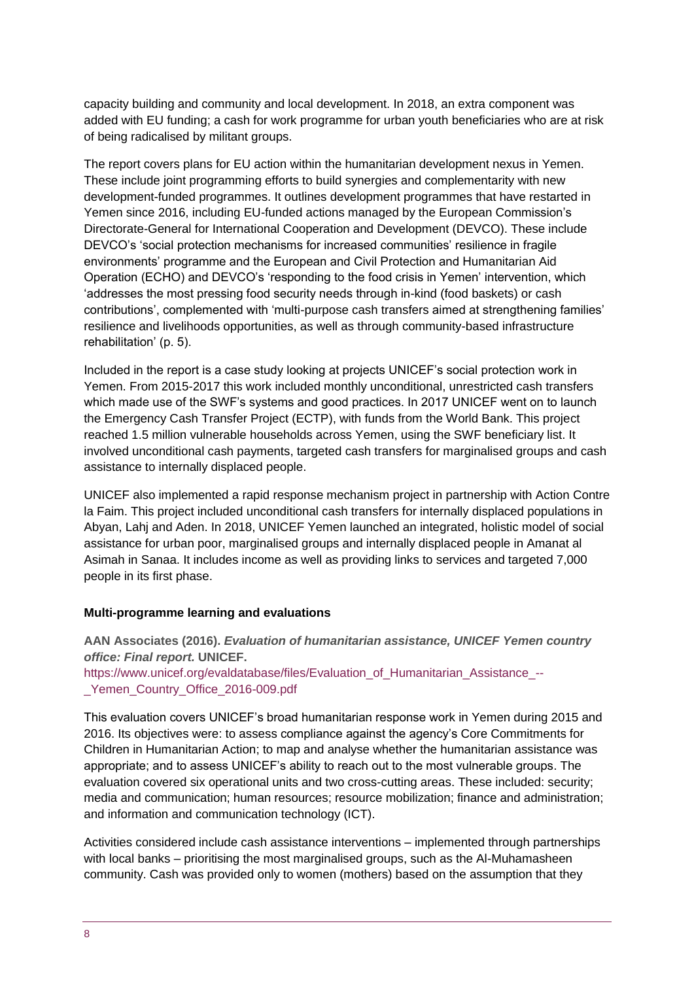capacity building and community and local development. In 2018, an extra component was added with EU funding; a cash for work programme for urban youth beneficiaries who are at risk of being radicalised by militant groups.

The report covers plans for EU action within the humanitarian development nexus in Yemen. These include joint programming efforts to build synergies and complementarity with new development-funded programmes. It outlines development programmes that have restarted in Yemen since 2016, including EU-funded actions managed by the European Commission's Directorate-General for International Cooperation and Development (DEVCO). These include DEVCO's 'social protection mechanisms for increased communities' resilience in fragile environments' programme and the European and Civil Protection and Humanitarian Aid Operation (ECHO) and DEVCO's 'responding to the food crisis in Yemen' intervention, which 'addresses the most pressing food security needs through in-kind (food baskets) or cash contributions', complemented with 'multi-purpose cash transfers aimed at strengthening families' resilience and livelihoods opportunities, as well as through community-based infrastructure rehabilitation' (p. 5).

Included in the report is a case study looking at projects UNICEF's social protection work in Yemen. From 2015-2017 this work included monthly unconditional, unrestricted cash transfers which made use of the SWF's systems and good practices. In 2017 UNICEF went on to launch the Emergency Cash Transfer Project (ECTP), with funds from the World Bank. This project reached 1.5 million vulnerable households across Yemen, using the SWF beneficiary list. It involved unconditional cash payments, targeted cash transfers for marginalised groups and cash assistance to internally displaced people.

UNICEF also implemented a rapid response mechanism project in partnership with Action Contre la Faim. This project included unconditional cash transfers for internally displaced populations in Abyan, Lahj and Aden. In 2018, UNICEF Yemen launched an integrated, holistic model of social assistance for urban poor, marginalised groups and internally displaced people in Amanat al Asimah in Sanaa. It includes income as well as providing links to services and targeted 7,000 people in its first phase.

#### **Multi-programme learning and evaluations**

**AAN Associates (2016).** *Evaluation of humanitarian assistance, UNICEF Yemen country office: Final report.* **UNICEF.**

[https://www.unicef.org/evaldatabase/files/Evaluation\\_of\\_Humanitarian\\_Assistance\\_--](https://www.unicef.org/evaldatabase/files/Evaluation_of_Humanitarian_Assistance_--_Yemen_Country_Office_2016-009.pdf) Yemen\_Country\_Office\_2016-009.pdf

This evaluation covers UNICEF's broad humanitarian response work in Yemen during 2015 and 2016. Its objectives were: to assess compliance against the agency's Core Commitments for Children in Humanitarian Action; to map and analyse whether the humanitarian assistance was appropriate; and to assess UNICEF's ability to reach out to the most vulnerable groups. The evaluation covered six operational units and two cross-cutting areas. These included: security; media and communication; human resources; resource mobilization; finance and administration; and information and communication technology (ICT).

Activities considered include cash assistance interventions – implemented through partnerships with local banks – prioritising the most marginalised groups, such as the Al-Muhamasheen community. Cash was provided only to women (mothers) based on the assumption that they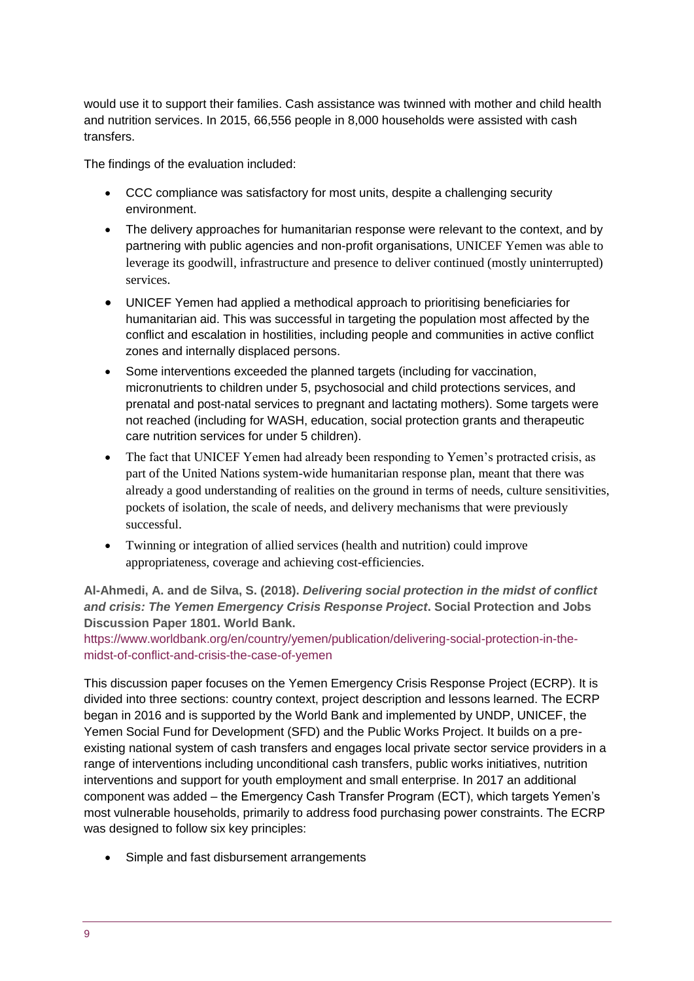would use it to support their families. Cash assistance was twinned with mother and child health and nutrition services. In 2015, 66,556 people in 8,000 households were assisted with cash transfers.

The findings of the evaluation included:

- CCC compliance was satisfactory for most units, despite a challenging security environment.
- The delivery approaches for humanitarian response were relevant to the context, and by partnering with public agencies and non-profit organisations, UNICEF Yemen was able to leverage its goodwill, infrastructure and presence to deliver continued (mostly uninterrupted) services.
- UNICEF Yemen had applied a methodical approach to prioritising beneficiaries for humanitarian aid. This was successful in targeting the population most affected by the conflict and escalation in hostilities, including people and communities in active conflict zones and internally displaced persons.
- Some interventions exceeded the planned targets (including for vaccination, micronutrients to children under 5, psychosocial and child protections services, and prenatal and post-natal services to pregnant and lactating mothers). Some targets were not reached (including for WASH, education, social protection grants and therapeutic care nutrition services for under 5 children).
- The fact that UNICEF Yemen had already been responding to Yemen's protracted crisis, as part of the United Nations system-wide humanitarian response plan, meant that there was already a good understanding of realities on the ground in terms of needs, culture sensitivities, pockets of isolation, the scale of needs, and delivery mechanisms that were previously successful.
- Twinning or integration of allied services (health and nutrition) could improve appropriateness, coverage and achieving cost-efficiencies.

#### **Al-Ahmedi, A. and de Silva, S. (2018).** *Delivering social protection in the midst of conflict and crisis: The Yemen Emergency Crisis Response Project***. Social Protection and Jobs Discussion Paper 1801. World Bank.**

[https://www.worldbank.org/en/country/yemen/publication/delivering-social-protection-in-the](https://www.worldbank.org/en/country/yemen/publication/delivering-social-protection-in-the-midst-of-conflict-and-crisis-the-case-of-yemen)[midst-of-conflict-and-crisis-the-case-of-yemen](https://www.worldbank.org/en/country/yemen/publication/delivering-social-protection-in-the-midst-of-conflict-and-crisis-the-case-of-yemen)

This discussion paper focuses on the Yemen Emergency Crisis Response Project (ECRP). It is divided into three sections: country context, project description and lessons learned. The ECRP began in 2016 and is supported by the World Bank and implemented by UNDP, UNICEF, the Yemen Social Fund for Development (SFD) and the Public Works Project. It builds on a preexisting national system of cash transfers and engages local private sector service providers in a range of interventions including unconditional cash transfers, public works initiatives, nutrition interventions and support for youth employment and small enterprise. In 2017 an additional component was added – the Emergency Cash Transfer Program (ECT), which targets Yemen's most vulnerable households, primarily to address food purchasing power constraints. The ECRP was designed to follow six key principles:

Simple and fast disbursement arrangements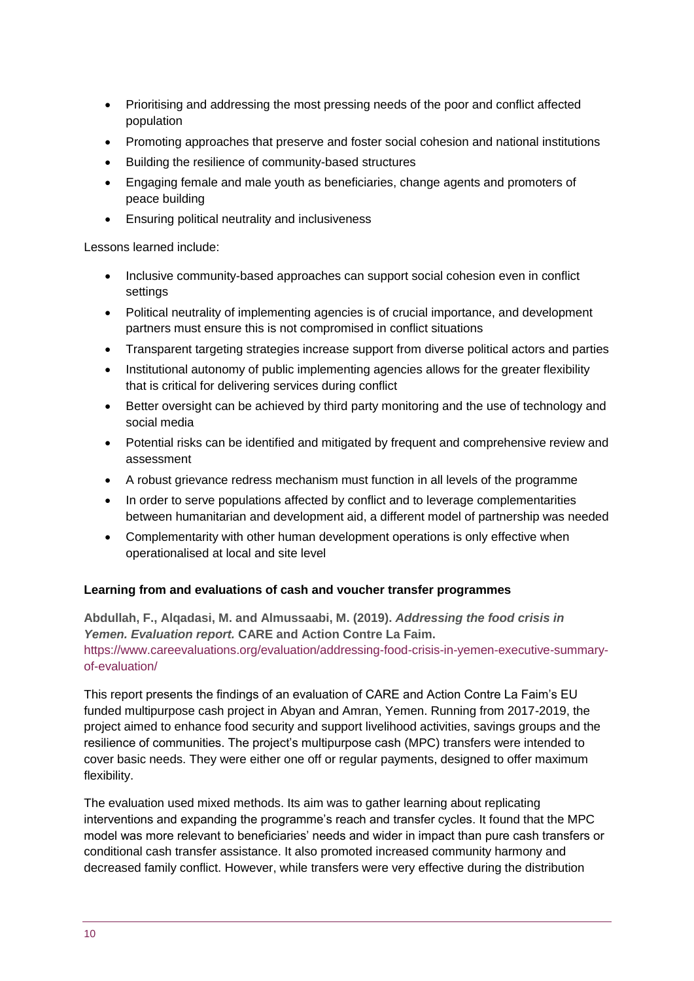- Prioritising and addressing the most pressing needs of the poor and conflict affected population
- Promoting approaches that preserve and foster social cohesion and national institutions
- Building the resilience of community-based structures
- Engaging female and male youth as beneficiaries, change agents and promoters of peace building
- Ensuring political neutrality and inclusiveness

Lessons learned include:

- Inclusive community-based approaches can support social cohesion even in conflict settings
- Political neutrality of implementing agencies is of crucial importance, and development partners must ensure this is not compromised in conflict situations
- Transparent targeting strategies increase support from diverse political actors and parties
- Institutional autonomy of public implementing agencies allows for the greater flexibility that is critical for delivering services during conflict
- Better oversight can be achieved by third party monitoring and the use of technology and social media
- Potential risks can be identified and mitigated by frequent and comprehensive review and assessment
- A robust grievance redress mechanism must function in all levels of the programme
- In order to serve populations affected by conflict and to leverage complementarities between humanitarian and development aid, a different model of partnership was needed
- Complementarity with other human development operations is only effective when operationalised at local and site level

#### **Learning from and evaluations of cash and voucher transfer programmes**

**Abdullah, F., Alqadasi, M. and Almussaabi, M. (2019).** *Addressing the food crisis in Yemen. Evaluation report.* **CARE and Action Contre La Faim.** [https://www.careevaluations.org/evaluation/addressing-food-crisis-in-yemen-executive-summary](https://www.careevaluations.org/evaluation/addressing-food-crisis-in-yemen-executive-summary-of-evaluation/)[of-evaluation/](https://www.careevaluations.org/evaluation/addressing-food-crisis-in-yemen-executive-summary-of-evaluation/)

This report presents the findings of an evaluation of CARE and Action Contre La Faim's EU funded multipurpose cash project in Abyan and Amran, Yemen. Running from 2017-2019, the project aimed to enhance food security and support livelihood activities, savings groups and the resilience of communities. The project's multipurpose cash (MPC) transfers were intended to cover basic needs. They were either one off or regular payments, designed to offer maximum flexibility.

The evaluation used mixed methods. Its aim was to gather learning about replicating interventions and expanding the programme's reach and transfer cycles. It found that the MPC model was more relevant to beneficiaries' needs and wider in impact than pure cash transfers or conditional cash transfer assistance. It also promoted increased community harmony and decreased family conflict. However, while transfers were very effective during the distribution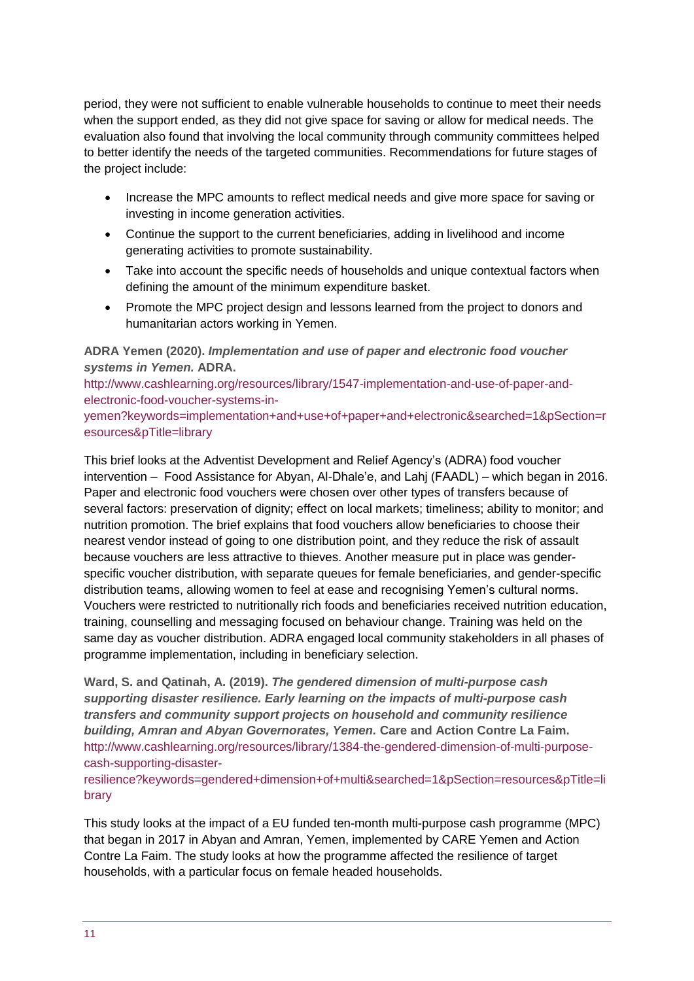period, they were not sufficient to enable vulnerable households to continue to meet their needs when the support ended, as they did not give space for saving or allow for medical needs. The evaluation also found that involving the local community through community committees helped to better identify the needs of the targeted communities. Recommendations for future stages of the project include:

- Increase the MPC amounts to reflect medical needs and give more space for saving or investing in income generation activities.
- Continue the support to the current beneficiaries, adding in livelihood and income generating activities to promote sustainability.
- Take into account the specific needs of households and unique contextual factors when defining the amount of the minimum expenditure basket.
- Promote the MPC project design and lessons learned from the project to donors and humanitarian actors working in Yemen.

**ADRA Yemen (2020).** *Implementation and use of paper and electronic food voucher systems in Yemen.* **ADRA.**

[http://www.cashlearning.org/resources/library/1547-implementation-and-use-of-paper-and](http://www.cashlearning.org/resources/library/1547-implementation-and-use-of-paper-and-electronic-food-voucher-systems-in-yemen?keywords=implementation+and+use+of+paper+and+electronic&searched=1&pSection=resources&pTitle=library)[electronic-food-voucher-systems-in-](http://www.cashlearning.org/resources/library/1547-implementation-and-use-of-paper-and-electronic-food-voucher-systems-in-yemen?keywords=implementation+and+use+of+paper+and+electronic&searched=1&pSection=resources&pTitle=library)

[yemen?keywords=implementation+and+use+of+paper+and+electronic&searched=1&pSection=r](http://www.cashlearning.org/resources/library/1547-implementation-and-use-of-paper-and-electronic-food-voucher-systems-in-yemen?keywords=implementation+and+use+of+paper+and+electronic&searched=1&pSection=resources&pTitle=library) [esources&pTitle=library](http://www.cashlearning.org/resources/library/1547-implementation-and-use-of-paper-and-electronic-food-voucher-systems-in-yemen?keywords=implementation+and+use+of+paper+and+electronic&searched=1&pSection=resources&pTitle=library)

This brief looks at the Adventist Development and Relief Agency's (ADRA) food voucher intervention – Food Assistance for Abyan, Al-Dhale'e, and Lahj (FAADL) – which began in 2016. Paper and electronic food vouchers were chosen over other types of transfers because of several factors: preservation of dignity; effect on local markets; timeliness; ability to monitor; and nutrition promotion. The brief explains that food vouchers allow beneficiaries to choose their nearest vendor instead of going to one distribution point, and they reduce the risk of assault because vouchers are less attractive to thieves. Another measure put in place was genderspecific voucher distribution, with separate queues for female beneficiaries, and gender-specific distribution teams, allowing women to feel at ease and recognising Yemen's cultural norms. Vouchers were restricted to nutritionally rich foods and beneficiaries received nutrition education, training, counselling and messaging focused on behaviour change. Training was held on the same day as voucher distribution. ADRA engaged local community stakeholders in all phases of programme implementation, including in beneficiary selection.

**Ward, S. and Qatinah, A. (2019).** *The gendered dimension of multi-purpose cash supporting disaster resilience. Early learning on the impacts of multi-purpose cash transfers and community support projects on household and community resilience building, Amran and Abyan Governorates, Yemen.* **Care and Action Contre La Faim.** [http://www.cashlearning.org/resources/library/1384-the-gendered-dimension-of-multi-purpose](http://www.cashlearning.org/resources/library/1384-the-gendered-dimension-of-multi-purpose-cash-supporting-disaster-resilience?keywords=gendered+dimension+of+multi&searched=1&pSection=resources&pTitle=library)[cash-supporting-disaster-](http://www.cashlearning.org/resources/library/1384-the-gendered-dimension-of-multi-purpose-cash-supporting-disaster-resilience?keywords=gendered+dimension+of+multi&searched=1&pSection=resources&pTitle=library)

[resilience?keywords=gendered+dimension+of+multi&searched=1&pSection=resources&pTitle=li](http://www.cashlearning.org/resources/library/1384-the-gendered-dimension-of-multi-purpose-cash-supporting-disaster-resilience?keywords=gendered+dimension+of+multi&searched=1&pSection=resources&pTitle=library) [brary](http://www.cashlearning.org/resources/library/1384-the-gendered-dimension-of-multi-purpose-cash-supporting-disaster-resilience?keywords=gendered+dimension+of+multi&searched=1&pSection=resources&pTitle=library)

This study looks at the impact of a EU funded ten-month multi-purpose cash programme (MPC) that began in 2017 in Abyan and Amran, Yemen, implemented by CARE Yemen and Action Contre La Faim. The study looks at how the programme affected the resilience of target households, with a particular focus on female headed households.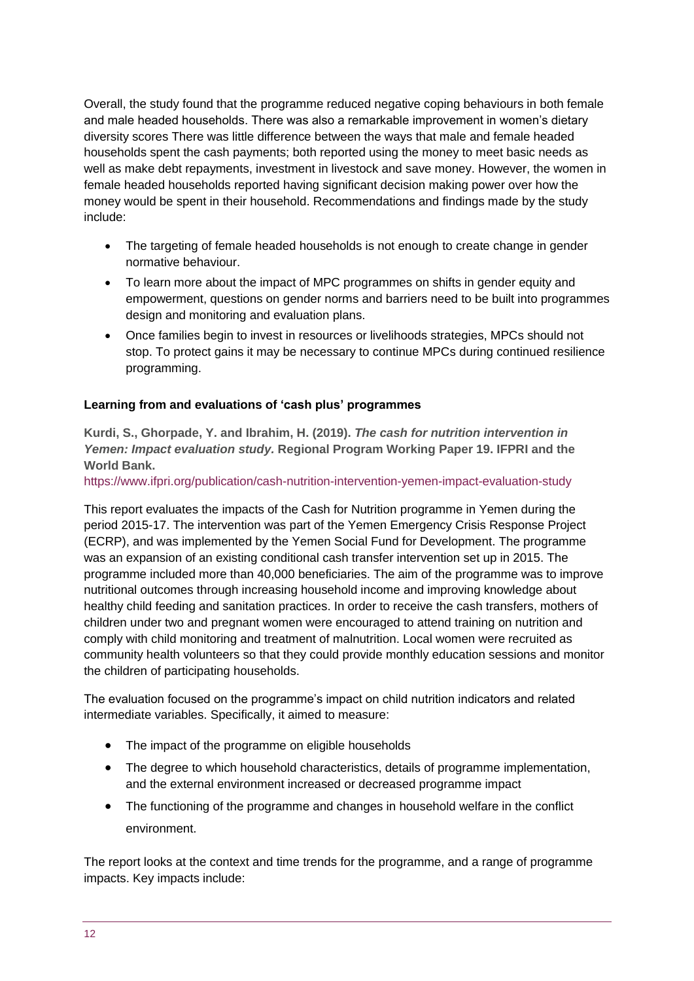Overall, the study found that the programme reduced negative coping behaviours in both female and male headed households. There was also a remarkable improvement in women's dietary diversity scores There was little difference between the ways that male and female headed households spent the cash payments; both reported using the money to meet basic needs as well as make debt repayments, investment in livestock and save money. However, the women in female headed households reported having significant decision making power over how the money would be spent in their household. Recommendations and findings made by the study include:

- The targeting of female headed households is not enough to create change in gender normative behaviour.
- To learn more about the impact of MPC programmes on shifts in gender equity and empowerment, questions on gender norms and barriers need to be built into programmes design and monitoring and evaluation plans.
- Once families begin to invest in resources or livelihoods strategies, MPCs should not stop. To protect gains it may be necessary to continue MPCs during continued resilience programming.

#### **Learning from and evaluations of 'cash plus' programmes**

**Kurdi, S., Ghorpade, Y. and Ibrahim, H. (2019).** *The cash for nutrition intervention in Yemen: Impact evaluation study.* **Regional Program Working Paper 19. IFPRI and the World Bank.** 

<https://www.ifpri.org/publication/cash-nutrition-intervention-yemen-impact-evaluation-study>

This report evaluates the impacts of the Cash for Nutrition programme in Yemen during the period 2015-17. The intervention was part of the Yemen Emergency Crisis Response Project (ECRP), and was implemented by the Yemen Social Fund for Development. The programme was an expansion of an existing conditional cash transfer intervention set up in 2015. The programme included more than 40,000 beneficiaries. The aim of the programme was to improve nutritional outcomes through increasing household income and improving knowledge about healthy child feeding and sanitation practices. In order to receive the cash transfers, mothers of children under two and pregnant women were encouraged to attend training on nutrition and comply with child monitoring and treatment of malnutrition. Local women were recruited as community health volunteers so that they could provide monthly education sessions and monitor the children of participating households.

The evaluation focused on the programme's impact on child nutrition indicators and related intermediate variables. Specifically, it aimed to measure:

- The impact of the programme on eligible households
- The degree to which household characteristics, details of programme implementation, and the external environment increased or decreased programme impact
- The functioning of the programme and changes in household welfare in the conflict environment.

The report looks at the context and time trends for the programme, and a range of programme impacts. Key impacts include: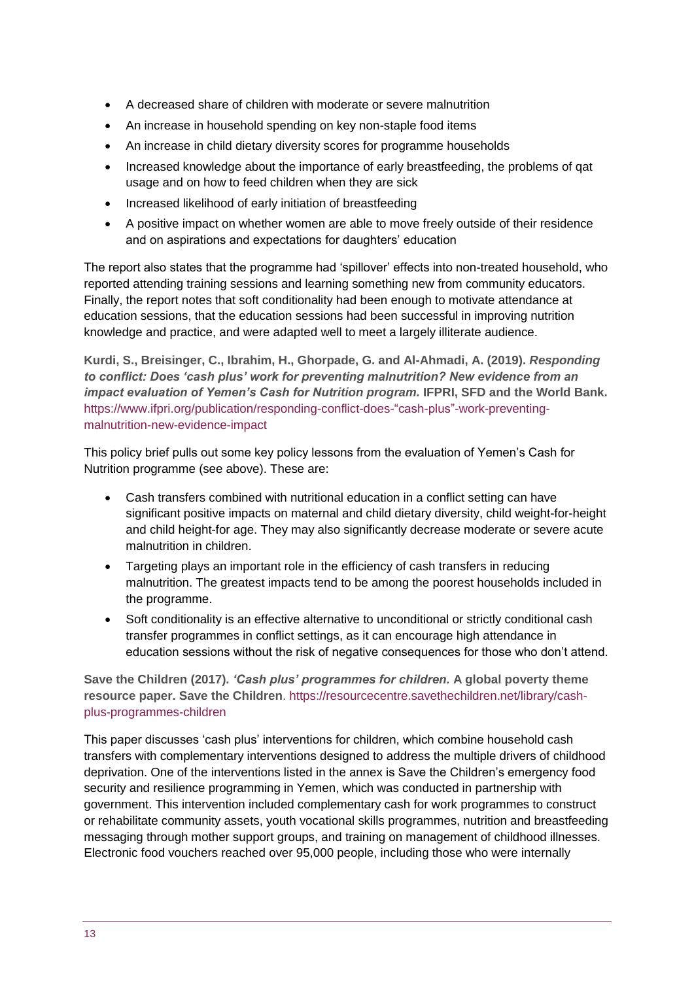- A decreased share of children with moderate or severe malnutrition
- An increase in household spending on key non-staple food items
- An increase in child dietary diversity scores for programme households
- Increased knowledge about the importance of early breastfeeding, the problems of gat usage and on how to feed children when they are sick
- Increased likelihood of early initiation of breastfeeding
- A positive impact on whether women are able to move freely outside of their residence and on aspirations and expectations for daughters' education

The report also states that the programme had 'spillover' effects into non-treated household, who reported attending training sessions and learning something new from community educators. Finally, the report notes that soft conditionality had been enough to motivate attendance at education sessions, that the education sessions had been successful in improving nutrition knowledge and practice, and were adapted well to meet a largely illiterate audience.

**Kurdi, S., Breisinger, C., Ibrahim, H., Ghorpade, G. and Al-Ahmadi, A. (2019).** *Responding to conflict: Does 'cash plus' work for preventing malnutrition? New evidence from an impact evaluation of Yemen's Cash for Nutrition program.* IFPRI, SFD and the World Bank. [https://www.ifpri.org/publication/responding-conflict-does-"cash-plus"-work-preventing](https://www.ifpri.org/publication/responding-conflict-does-)[malnutrition-new-evidence-impact](https://www.ifpri.org/publication/responding-conflict-does-)

This policy brief pulls out some key policy lessons from the evaluation of Yemen's Cash for Nutrition programme (see above). These are:

- Cash transfers combined with nutritional education in a conflict setting can have significant positive impacts on maternal and child dietary diversity, child weight-for-height and child height-for age. They may also significantly decrease moderate or severe acute malnutrition in children.
- Targeting plays an important role in the efficiency of cash transfers in reducing malnutrition. The greatest impacts tend to be among the poorest households included in the programme.
- Soft conditionality is an effective alternative to unconditional or strictly conditional cash transfer programmes in conflict settings, as it can encourage high attendance in education sessions without the risk of negative consequences for those who don't attend.

**Save the Children (2017).** *'Cash plus' programmes for children.* **A global poverty theme resource paper. Save the Children**. [https://resourcecentre.savethechildren.net/library/cash](https://resourcecentre.savethechildren.net/library/cash-plus-programmes-children)[plus-programmes-children](https://resourcecentre.savethechildren.net/library/cash-plus-programmes-children)

This paper discusses 'cash plus' interventions for children, which combine household cash transfers with complementary interventions designed to address the multiple drivers of childhood deprivation. One of the interventions listed in the annex is Save the Children's emergency food security and resilience programming in Yemen, which was conducted in partnership with government. This intervention included complementary cash for work programmes to construct or rehabilitate community assets, youth vocational skills programmes, nutrition and breastfeeding messaging through mother support groups, and training on management of childhood illnesses. Electronic food vouchers reached over 95,000 people, including those who were internally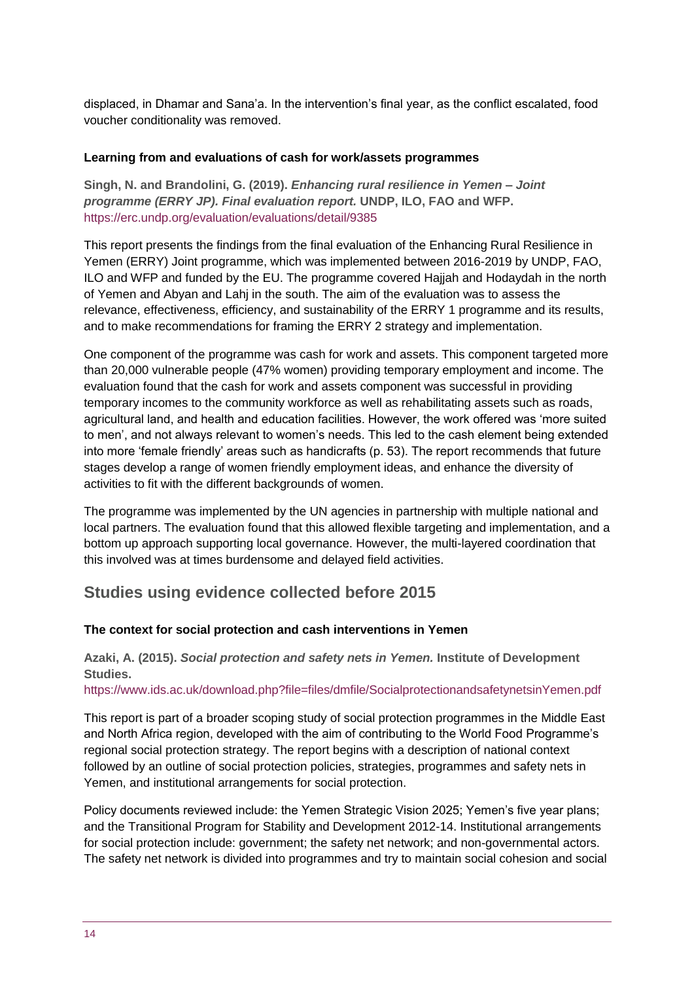displaced, in Dhamar and Sana'a. In the intervention's final year, as the conflict escalated, food voucher conditionality was removed.

#### **Learning from and evaluations of cash for work/assets programmes**

**Singh, N. and Brandolini, G. (2019).** *Enhancing rural resilience in Yemen – Joint programme (ERRY JP). Final evaluation report.* **UNDP, ILO, FAO and WFP.** <https://erc.undp.org/evaluation/evaluations/detail/9385>

This report presents the findings from the final evaluation of the Enhancing Rural Resilience in Yemen (ERRY) Joint programme, which was implemented between 2016-2019 by UNDP, FAO, ILO and WFP and funded by the EU. The programme covered Hajjah and Hodaydah in the north of Yemen and Abyan and Lahj in the south. The aim of the evaluation was to assess the relevance, effectiveness, efficiency, and sustainability of the ERRY 1 programme and its results, and to make recommendations for framing the ERRY 2 strategy and implementation.

One component of the programme was cash for work and assets. This component targeted more than 20,000 vulnerable people (47% women) providing temporary employment and income. The evaluation found that the cash for work and assets component was successful in providing temporary incomes to the community workforce as well as rehabilitating assets such as roads, agricultural land, and health and education facilities. However, the work offered was 'more suited to men', and not always relevant to women's needs. This led to the cash element being extended into more 'female friendly' areas such as handicrafts (p. 53). The report recommends that future stages develop a range of women friendly employment ideas, and enhance the diversity of activities to fit with the different backgrounds of women.

The programme was implemented by the UN agencies in partnership with multiple national and local partners. The evaluation found that this allowed flexible targeting and implementation, and a bottom up approach supporting local governance. However, the multi-layered coordination that this involved was at times burdensome and delayed field activities.

### **Studies using evidence collected before 2015**

#### **The context for social protection and cash interventions in Yemen**

**Azaki, A. (2015).** *Social protection and safety nets in Yemen.* **Institute of Development Studies.** 

<https://www.ids.ac.uk/download.php?file=files/dmfile/SocialprotectionandsafetynetsinYemen.pdf>

This report is part of a broader scoping study of social protection programmes in the Middle East and North Africa region, developed with the aim of contributing to the World Food Programme's regional social protection strategy. The report begins with a description of national context followed by an outline of social protection policies, strategies, programmes and safety nets in Yemen, and institutional arrangements for social protection.

Policy documents reviewed include: the Yemen Strategic Vision 2025; Yemen's five year plans; and the Transitional Program for Stability and Development 2012-14. Institutional arrangements for social protection include: government; the safety net network; and non-governmental actors. The safety net network is divided into programmes and try to maintain social cohesion and social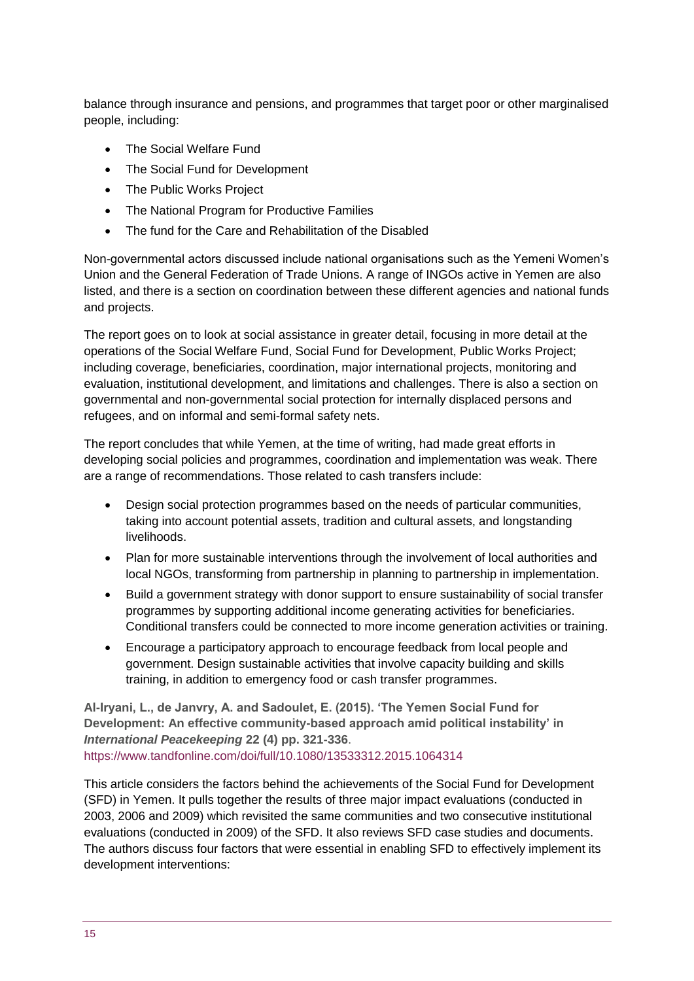balance through insurance and pensions, and programmes that target poor or other marginalised people, including:

- The Social Welfare Fund
- The Social Fund for Development
- The Public Works Project
- The National Program for Productive Families
- The fund for the Care and Rehabilitation of the Disabled

Non-governmental actors discussed include national organisations such as the Yemeni Women's Union and the General Federation of Trade Unions. A range of INGOs active in Yemen are also listed, and there is a section on coordination between these different agencies and national funds and projects.

The report goes on to look at social assistance in greater detail, focusing in more detail at the operations of the Social Welfare Fund, Social Fund for Development, Public Works Project; including coverage, beneficiaries, coordination, major international projects, monitoring and evaluation, institutional development, and limitations and challenges. There is also a section on governmental and non-governmental social protection for internally displaced persons and refugees, and on informal and semi-formal safety nets.

The report concludes that while Yemen, at the time of writing, had made great efforts in developing social policies and programmes, coordination and implementation was weak. There are a range of recommendations. Those related to cash transfers include:

- Design social protection programmes based on the needs of particular communities, taking into account potential assets, tradition and cultural assets, and longstanding livelihoods.
- Plan for more sustainable interventions through the involvement of local authorities and local NGOs, transforming from partnership in planning to partnership in implementation.
- Build a government strategy with donor support to ensure sustainability of social transfer programmes by supporting additional income generating activities for beneficiaries. Conditional transfers could be connected to more income generation activities or training.
- Encourage a participatory approach to encourage feedback from local people and government. Design sustainable activities that involve capacity building and skills training, in addition to emergency food or cash transfer programmes.

**Al-Iryani, L., de Janvry, A. and Sadoulet, E. (2015). 'The Yemen Social Fund for Development: An effective community-based approach amid political instability' in**  *International Peacekeeping* **22 (4) pp. 321-336**. <https://www.tandfonline.com/doi/full/10.1080/13533312.2015.1064314>

This article considers the factors behind the achievements of the Social Fund for Development (SFD) in Yemen. It pulls together the results of three major impact evaluations (conducted in 2003, 2006 and 2009) which revisited the same communities and two consecutive institutional evaluations (conducted in 2009) of the SFD. It also reviews SFD case studies and documents. The authors discuss four factors that were essential in enabling SFD to effectively implement its development interventions: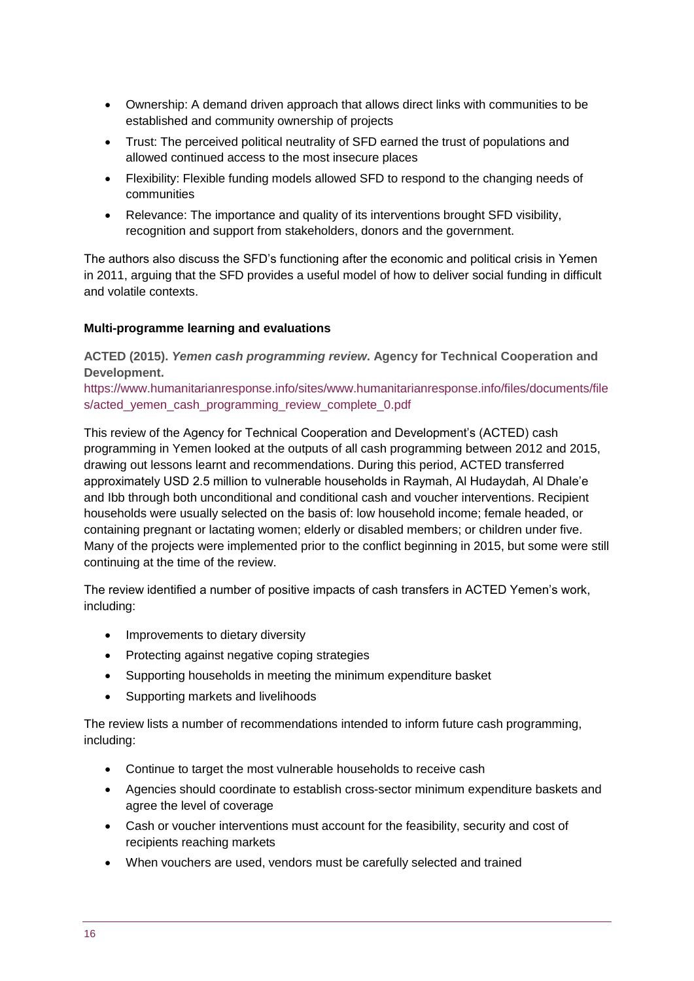- Ownership: A demand driven approach that allows direct links with communities to be established and community ownership of projects
- Trust: The perceived political neutrality of SFD earned the trust of populations and allowed continued access to the most insecure places
- Flexibility: Flexible funding models allowed SFD to respond to the changing needs of communities
- Relevance: The importance and quality of its interventions brought SFD visibility, recognition and support from stakeholders, donors and the government.

The authors also discuss the SFD's functioning after the economic and political crisis in Yemen in 2011, arguing that the SFD provides a useful model of how to deliver social funding in difficult and volatile contexts.

#### **Multi-programme learning and evaluations**

**ACTED (2015).** *Yemen cash programming review***. Agency for Technical Cooperation and Development.** 

[https://www.humanitarianresponse.info/sites/www.humanitarianresponse.info/files/documents/file](https://www.humanitarianresponse.info/sites/www.humanitarianresponse.info/files/documents/files/acted_yemen_cash_programming_review_complete_0.pdf) s/acted\_vemen\_cash\_programming\_review\_complete\_0.pdf

This review of the Agency for Technical Cooperation and Development's (ACTED) cash programming in Yemen looked at the outputs of all cash programming between 2012 and 2015, drawing out lessons learnt and recommendations. During this period, ACTED transferred approximately USD 2.5 million to vulnerable households in Raymah, Al Hudaydah, Al Dhale'e and Ibb through both unconditional and conditional cash and voucher interventions. Recipient households were usually selected on the basis of: low household income; female headed, or containing pregnant or lactating women; elderly or disabled members; or children under five. Many of the projects were implemented prior to the conflict beginning in 2015, but some were still continuing at the time of the review.

The review identified a number of positive impacts of cash transfers in ACTED Yemen's work, including:

- Improvements to dietary diversity
- Protecting against negative coping strategies
- Supporting households in meeting the minimum expenditure basket
- Supporting markets and livelihoods

The review lists a number of recommendations intended to inform future cash programming, including:

- Continue to target the most vulnerable households to receive cash
- Agencies should coordinate to establish cross-sector minimum expenditure baskets and agree the level of coverage
- Cash or voucher interventions must account for the feasibility, security and cost of recipients reaching markets
- When vouchers are used, vendors must be carefully selected and trained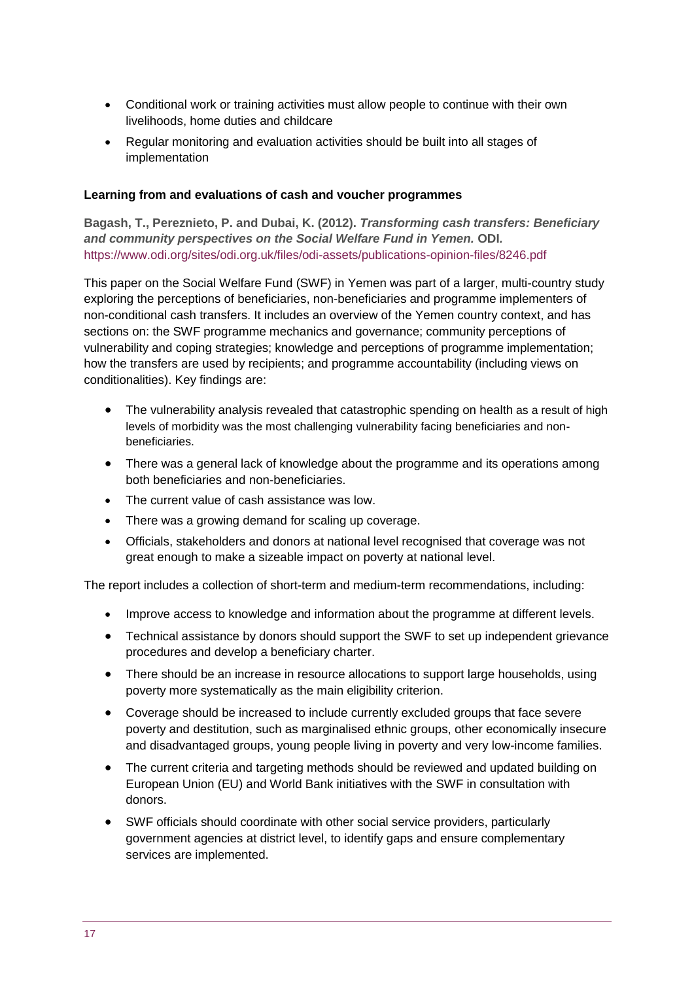- Conditional work or training activities must allow people to continue with their own livelihoods, home duties and childcare
- Regular monitoring and evaluation activities should be built into all stages of implementation

#### **Learning from and evaluations of cash and voucher programmes**

**Bagash, T., Pereznieto, P. and Dubai, K. (2012).** *Transforming cash transfers: Beneficiary and community perspectives on the Social Welfare Fund in Yemen.* **ODI***.*  <https://www.odi.org/sites/odi.org.uk/files/odi-assets/publications-opinion-files/8246.pdf>

This paper on the Social Welfare Fund (SWF) in Yemen was part of a larger, multi-country study exploring the perceptions of beneficiaries, non-beneficiaries and programme implementers of non-conditional cash transfers. It includes an overview of the Yemen country context, and has sections on: the SWF programme mechanics and governance; community perceptions of vulnerability and coping strategies; knowledge and perceptions of programme implementation; how the transfers are used by recipients; and programme accountability (including views on conditionalities). Key findings are:

- The vulnerability analysis revealed that catastrophic spending on health as a result of high levels of morbidity was the most challenging vulnerability facing beneficiaries and nonbeneficiaries.
- There was a general lack of knowledge about the programme and its operations among both beneficiaries and non-beneficiaries.
- The current value of cash assistance was low.
- There was a growing demand for scaling up coverage.
- Officials, stakeholders and donors at national level recognised that coverage was not great enough to make a sizeable impact on poverty at national level.

The report includes a collection of short-term and medium-term recommendations, including:

- Improve access to knowledge and information about the programme at different levels.
- Technical assistance by donors should support the SWF to set up independent grievance procedures and develop a beneficiary charter.
- There should be an increase in resource allocations to support large households, using poverty more systematically as the main eligibility criterion.
- Coverage should be increased to include currently excluded groups that face severe poverty and destitution, such as marginalised ethnic groups, other economically insecure and disadvantaged groups, young people living in poverty and very low-income families.
- The current criteria and targeting methods should be reviewed and updated building on European Union (EU) and World Bank initiatives with the SWF in consultation with donors.
- SWF officials should coordinate with other social service providers, particularly government agencies at district level, to identify gaps and ensure complementary services are implemented.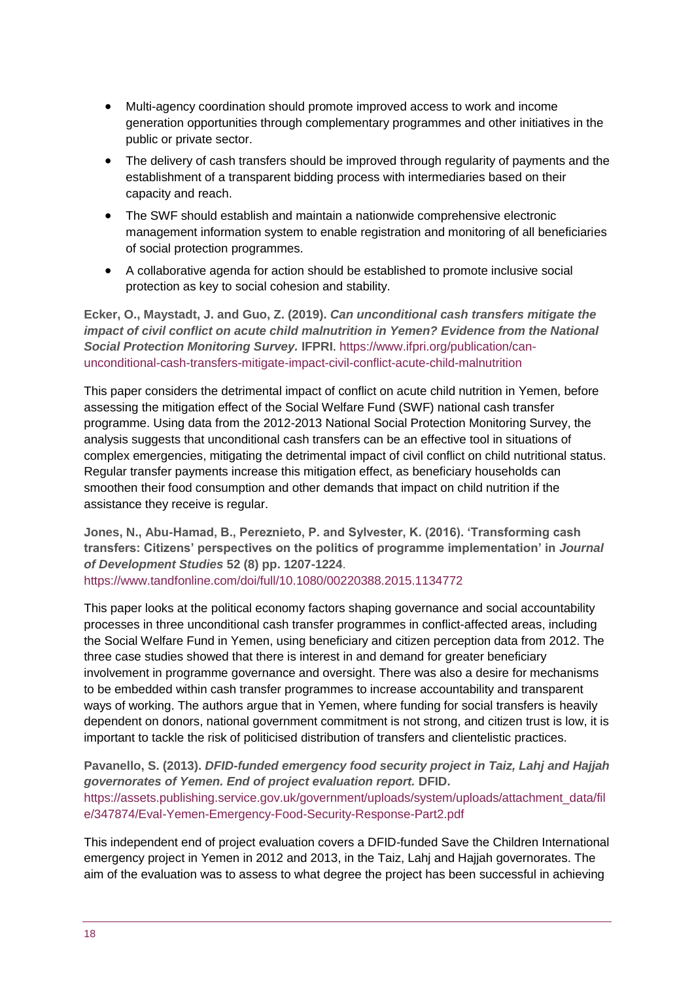- Multi-agency coordination should promote improved access to work and income generation opportunities through complementary programmes and other initiatives in the public or private sector.
- The delivery of cash transfers should be improved through regularity of payments and the establishment of a transparent bidding process with intermediaries based on their capacity and reach.
- The SWF should establish and maintain a nationwide comprehensive electronic management information system to enable registration and monitoring of all beneficiaries of social protection programmes.
- A collaborative agenda for action should be established to promote inclusive social protection as key to social cohesion and stability.

**Ecker, O., Maystadt, J. and Guo, Z. (2019).** *Can unconditional cash transfers mitigate the impact of civil conflict on acute child malnutrition in Yemen? Evidence from the National Social Protection Monitoring Survey.* **IFPRI**. [https://www.ifpri.org/publication/can](https://www.ifpri.org/publication/can-unconditional-cash-transfers-mitigate-impact-civil-conflict-acute-child-malnutrition)[unconditional-cash-transfers-mitigate-impact-civil-conflict-acute-child-malnutrition](https://www.ifpri.org/publication/can-unconditional-cash-transfers-mitigate-impact-civil-conflict-acute-child-malnutrition)

This paper considers the detrimental impact of conflict on acute child nutrition in Yemen, before assessing the mitigation effect of the Social Welfare Fund (SWF) national cash transfer programme. Using data from the 2012-2013 National Social Protection Monitoring Survey, the analysis suggests that unconditional cash transfers can be an effective tool in situations of complex emergencies, mitigating the detrimental impact of civil conflict on child nutritional status. Regular transfer payments increase this mitigation effect, as beneficiary households can smoothen their food consumption and other demands that impact on child nutrition if the assistance they receive is regular.

**Jones, N., Abu-Hamad, B., Pereznieto, P. and Sylvester, K. (2016). 'Transforming cash transfers: Citizens' perspectives on the politics of programme implementation' in** *Journal of Development Studies* **52 (8) pp. 1207-1224**. <https://www.tandfonline.com/doi/full/10.1080/00220388.2015.1134772>

This paper looks at the political economy factors shaping governance and social accountability processes in three unconditional cash transfer programmes in conflict-affected areas, including the Social Welfare Fund in Yemen, using beneficiary and citizen perception data from 2012. The three case studies showed that there is interest in and demand for greater beneficiary involvement in programme governance and oversight. There was also a desire for mechanisms to be embedded within cash transfer programmes to increase accountability and transparent ways of working. The authors argue that in Yemen, where funding for social transfers is heavily dependent on donors, national government commitment is not strong, and citizen trust is low, it is important to tackle the risk of politicised distribution of transfers and clientelistic practices.

**Pavanello, S. (2013).** *DFID-funded emergency food security project in Taiz, Lahj and Hajjah governorates of Yemen. End of project evaluation report.* **DFID.**  [https://assets.publishing.service.gov.uk/government/uploads/system/uploads/attachment\\_data/fil](https://assets.publishing.service.gov.uk/government/uploads/system/uploads/attachment_data/file/347874/Eval-Yemen-Emergency-Food-Security-Response-Part2.pdf) [e/347874/Eval-Yemen-Emergency-Food-Security-Response-Part2.pdf](https://assets.publishing.service.gov.uk/government/uploads/system/uploads/attachment_data/file/347874/Eval-Yemen-Emergency-Food-Security-Response-Part2.pdf)

This independent end of project evaluation covers a DFID-funded Save the Children International emergency project in Yemen in 2012 and 2013, in the Taiz, Lahj and Hajjah governorates. The aim of the evaluation was to assess to what degree the project has been successful in achieving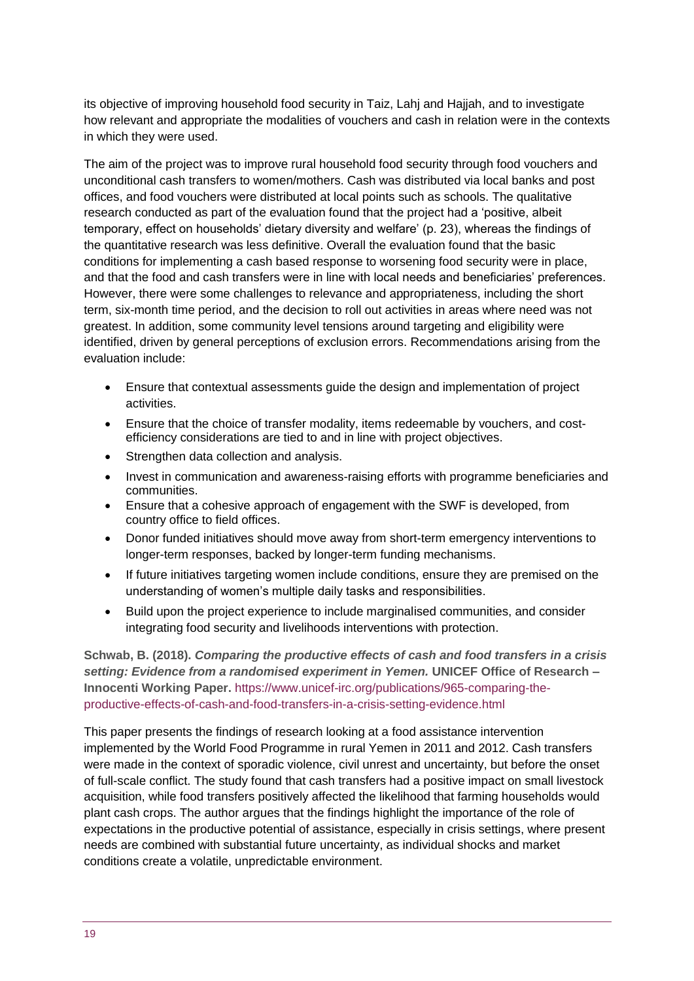its objective of improving household food security in Taiz, Lahj and Hajjah, and to investigate how relevant and appropriate the modalities of vouchers and cash in relation were in the contexts in which they were used.

The aim of the project was to improve rural household food security through food vouchers and unconditional cash transfers to women/mothers. Cash was distributed via local banks and post offices, and food vouchers were distributed at local points such as schools. The qualitative research conducted as part of the evaluation found that the project had a 'positive, albeit temporary, effect on households' dietary diversity and welfare' (p. 23), whereas the findings of the quantitative research was less definitive. Overall the evaluation found that the basic conditions for implementing a cash based response to worsening food security were in place, and that the food and cash transfers were in line with local needs and beneficiaries' preferences. However, there were some challenges to relevance and appropriateness, including the short term, six-month time period, and the decision to roll out activities in areas where need was not greatest. In addition, some community level tensions around targeting and eligibility were identified, driven by general perceptions of exclusion errors. Recommendations arising from the evaluation include:

- Ensure that contextual assessments guide the design and implementation of project activities.
- Ensure that the choice of transfer modality, items redeemable by vouchers, and costefficiency considerations are tied to and in line with project objectives.
- Strengthen data collection and analysis.
- Invest in communication and awareness-raising efforts with programme beneficiaries and communities.
- Ensure that a cohesive approach of engagement with the SWF is developed, from country office to field offices.
- Donor funded initiatives should move away from short-term emergency interventions to longer-term responses, backed by longer-term funding mechanisms.
- If future initiatives targeting women include conditions, ensure they are premised on the understanding of women's multiple daily tasks and responsibilities.
- Build upon the project experience to include marginalised communities, and consider integrating food security and livelihoods interventions with protection.

**Schwab, B. (2018).** *Comparing the productive effects of cash and food transfers in a crisis setting: Evidence from a randomised experiment in Yemen.* **UNICEF Office of Research – Innocenti Working Paper.** [https://www.unicef-irc.org/publications/965-comparing-the](https://www.unicef-irc.org/publications/965-comparing-the-productive-effects-of-cash-and-food-transfers-in-a-crisis-setting-evidence.html)[productive-effects-of-cash-and-food-transfers-in-a-crisis-setting-evidence.html](https://www.unicef-irc.org/publications/965-comparing-the-productive-effects-of-cash-and-food-transfers-in-a-crisis-setting-evidence.html)

This paper presents the findings of research looking at a food assistance intervention implemented by the World Food Programme in rural Yemen in 2011 and 2012. Cash transfers were made in the context of sporadic violence, civil unrest and uncertainty, but before the onset of full-scale conflict. The study found that cash transfers had a positive impact on small livestock acquisition, while food transfers positively affected the likelihood that farming households would plant cash crops. The author argues that the findings highlight the importance of the role of expectations in the productive potential of assistance, especially in crisis settings, where present needs are combined with substantial future uncertainty, as individual shocks and market conditions create a volatile, unpredictable environment.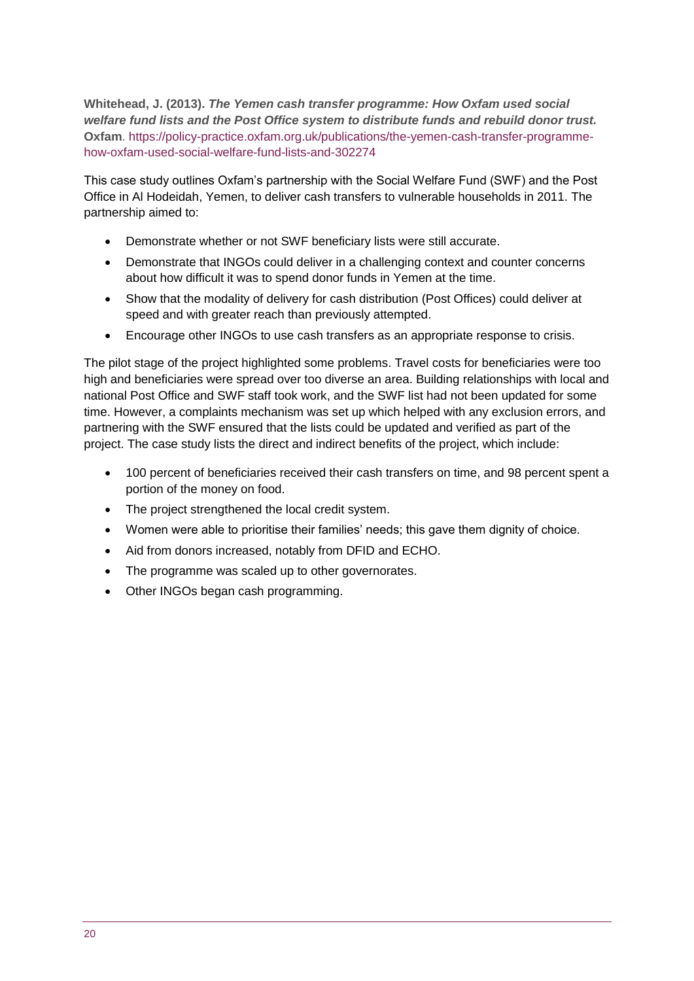**Whitehead, J. (2013).** *The Yemen cash transfer programme: How Oxfam used social welfare fund lists and the Post Office system to distribute funds and rebuild donor trust.*  **Oxfam**. [https://policy-practice.oxfam.org.uk/publications/the-yemen-cash-transfer-programme](https://policy-practice.oxfam.org.uk/publications/the-yemen-cash-transfer-programme-how-oxfam-used-social-welfare-fund-lists-and-302274)[how-oxfam-used-social-welfare-fund-lists-and-302274](https://policy-practice.oxfam.org.uk/publications/the-yemen-cash-transfer-programme-how-oxfam-used-social-welfare-fund-lists-and-302274)

This case study outlines Oxfam's partnership with the Social Welfare Fund (SWF) and the Post Office in Al Hodeidah, Yemen, to deliver cash transfers to vulnerable households in 2011. The partnership aimed to:

- Demonstrate whether or not SWF beneficiary lists were still accurate.
- Demonstrate that INGOs could deliver in a challenging context and counter concerns about how difficult it was to spend donor funds in Yemen at the time.
- Show that the modality of delivery for cash distribution (Post Offices) could deliver at speed and with greater reach than previously attempted.
- Encourage other INGOs to use cash transfers as an appropriate response to crisis.

The pilot stage of the project highlighted some problems. Travel costs for beneficiaries were too high and beneficiaries were spread over too diverse an area. Building relationships with local and national Post Office and SWF staff took work, and the SWF list had not been updated for some time. However, a complaints mechanism was set up which helped with any exclusion errors, and partnering with the SWF ensured that the lists could be updated and verified as part of the project. The case study lists the direct and indirect benefits of the project, which include:

- 100 percent of beneficiaries received their cash transfers on time, and 98 percent spent a portion of the money on food.
- The project strengthened the local credit system.
- Women were able to prioritise their families' needs; this gave them dignity of choice.
- Aid from donors increased, notably from DFID and ECHO.
- The programme was scaled up to other governorates.
- <span id="page-19-0"></span>• Other INGOs began cash programming.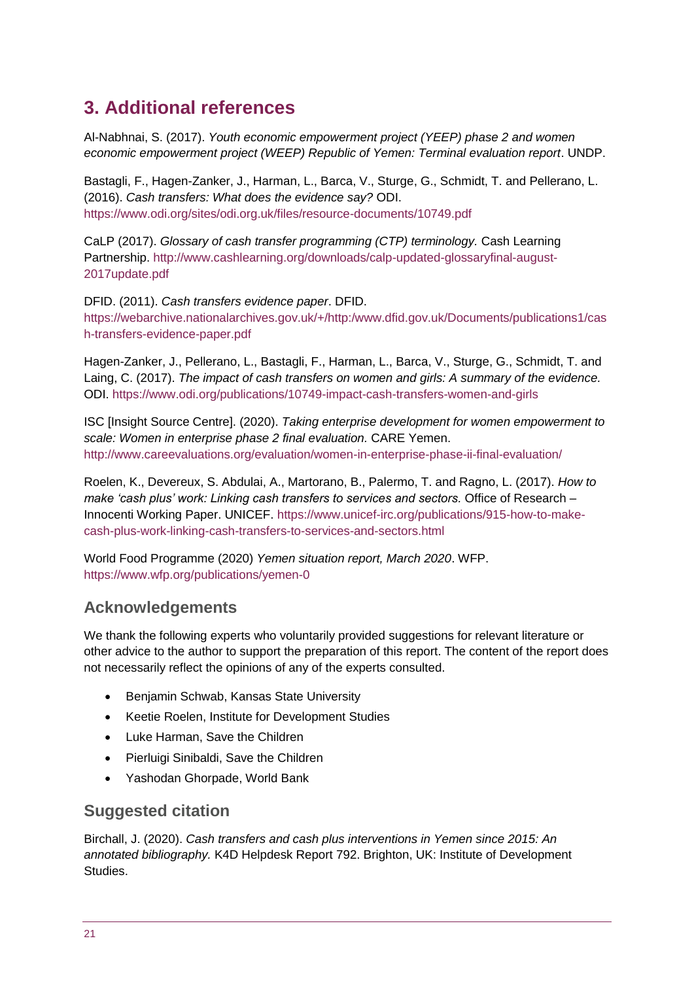# **3. Additional references**

Al-Nabhnai, S. (2017). *Youth economic empowerment project (YEEP) phase 2 and women economic empowerment project (WEEP) Republic of Yemen: Terminal evaluation report*. UNDP.

Bastagli, F., Hagen-Zanker, J., Harman, L., Barca, V., Sturge, G., Schmidt, T. and Pellerano, L. (2016). *Cash transfers: What does the evidence say?* ODI. <https://www.odi.org/sites/odi.org.uk/files/resource-documents/10749.pdf>

CaLP (2017). *Glossary of cash transfer programming (CTP) terminology.* Cash Learning Partnership. [http://www.cashlearning.org/downloads/calp-updated-glossaryfinal-august-](http://www.cashlearning.org/downloads/calp-updated-glossaryfinal-august-2017update.pdf)[2017update.pdf](http://www.cashlearning.org/downloads/calp-updated-glossaryfinal-august-2017update.pdf)

DFID. (2011). *Cash transfers evidence paper*. DFID. [https://webarchive.nationalarchives.gov.uk/+/http:/www.dfid.gov.uk/Documents/publications1/cas](https://webarchive.nationalarchives.gov.uk/+/http:/www.dfid.gov.uk/Documents/publications1/cash-transfers-evidence-paper.pdf) [h-transfers-evidence-paper.pdf](https://webarchive.nationalarchives.gov.uk/+/http:/www.dfid.gov.uk/Documents/publications1/cash-transfers-evidence-paper.pdf)

Hagen-Zanker, J., Pellerano, L., Bastagli, F., Harman, L., Barca, V., Sturge, G., Schmidt, T. and Laing, C. (2017). *The impact of cash transfers on women and girls: A summary of the evidence.*  ODI.<https://www.odi.org/publications/10749-impact-cash-transfers-women-and-girls>

ISC [Insight Source Centre]. (2020). *Taking enterprise development for women empowerment to scale: Women in enterprise phase 2 final evaluation.* CARE Yemen. <http://www.careevaluations.org/evaluation/women-in-enterprise-phase-ii-final-evaluation/>

Roelen, K., Devereux, S. Abdulai, A., Martorano, B., Palermo, T. and Ragno, L. (2017). *How to make 'cash plus' work: Linking cash transfers to services and sectors.* Office of Research – Innocenti Working Paper. UNICEF. [https://www.unicef-irc.org/publications/915-how-to-make](https://www.unicef-irc.org/publications/915-how-to-make-cash-plus-work-linking-cash-transfers-to-services-and-sectors.html)[cash-plus-work-linking-cash-transfers-to-services-and-sectors.html](https://www.unicef-irc.org/publications/915-how-to-make-cash-plus-work-linking-cash-transfers-to-services-and-sectors.html)

World Food Programme (2020) *Yemen situation report, March 2020*. WFP. <https://www.wfp.org/publications/yemen-0>

## **Acknowledgements**

We thank the following experts who voluntarily provided suggestions for relevant literature or other advice to the author to support the preparation of this report. The content of the report does not necessarily reflect the opinions of any of the experts consulted.

- Benjamin Schwab, Kansas State University
- Keetie Roelen, Institute for Development Studies
- Luke Harman, Save the Children
- Pierluigi Sinibaldi, Save the Children
- Yashodan Ghorpade, World Bank

### **Suggested citation**

Birchall, J. (2020). *Cash transfers and cash plus interventions in Yemen since 2015: An annotated bibliography.* K4D Helpdesk Report 792. Brighton, UK: Institute of Development Studies.